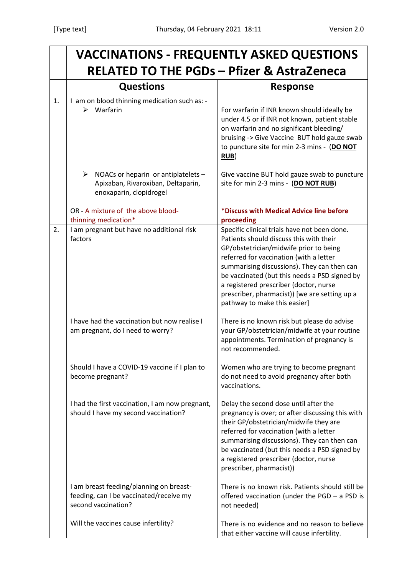|    | <b>VACCINATIONS - FREQUENTLY ASKED QUESTIONS</b>                                                          |                                                                                                                                                                                                                                                                                                                                                                                                         |  |  |  |  |
|----|-----------------------------------------------------------------------------------------------------------|---------------------------------------------------------------------------------------------------------------------------------------------------------------------------------------------------------------------------------------------------------------------------------------------------------------------------------------------------------------------------------------------------------|--|--|--|--|
|    | <b>RELATED TO THE PGDs - Pfizer &amp; AstraZeneca</b>                                                     |                                                                                                                                                                                                                                                                                                                                                                                                         |  |  |  |  |
|    | <b>Questions</b>                                                                                          | <b>Response</b>                                                                                                                                                                                                                                                                                                                                                                                         |  |  |  |  |
| 1. | I am on blood thinning medication such as: -<br>$\triangleright$ Warfarin                                 | For warfarin if INR known should ideally be<br>under 4.5 or if INR not known, patient stable<br>on warfarin and no significant bleeding/<br>bruising -> Give Vaccine BUT hold gauze swab<br>to puncture site for min 2-3 mins - (DO NOT<br>RUB)                                                                                                                                                         |  |  |  |  |
|    | ≻<br>NOACs or heparin or antiplatelets -<br>Apixaban, Rivaroxiban, Deltaparin,<br>enoxaparin, clopidrogel | Give vaccine BUT hold gauze swab to puncture<br>site for min 2-3 mins - (DO NOT RUB)                                                                                                                                                                                                                                                                                                                    |  |  |  |  |
|    | OR - A mixture of the above blood-<br>thinning medication*                                                | *Discuss with Medical Advice line before<br>proceeding                                                                                                                                                                                                                                                                                                                                                  |  |  |  |  |
| 2. | I am pregnant but have no additional risk<br>factors                                                      | Specific clinical trials have not been done.<br>Patients should discuss this with their<br>GP/obstetrician/midwife prior to being<br>referred for vaccination (with a letter<br>summarising discussions). They can then can<br>be vaccinated (but this needs a PSD signed by<br>a registered prescriber (doctor, nurse<br>prescriber, pharmacist)) [we are setting up a<br>pathway to make this easier] |  |  |  |  |
|    | I have had the vaccination but now realise I<br>am pregnant, do I need to worry?                          | There is no known risk but please do advise<br>your GP/obstetrician/midwife at your routine<br>appointments. Termination of pregnancy is<br>not recommended.                                                                                                                                                                                                                                            |  |  |  |  |
|    | Should I have a COVID-19 vaccine if I plan to<br>become pregnant?                                         | Women who are trying to become pregnant<br>do not need to avoid pregnancy after both<br>vaccinations.                                                                                                                                                                                                                                                                                                   |  |  |  |  |
|    | I had the first vaccination, I am now pregnant,<br>should I have my second vaccination?                   | Delay the second dose until after the<br>pregnancy is over; or after discussing this with<br>their GP/obstetrician/midwife they are<br>referred for vaccination (with a letter<br>summarising discussions). They can then can<br>be vaccinated (but this needs a PSD signed by<br>a registered prescriber (doctor, nurse<br>prescriber, pharmacist))                                                    |  |  |  |  |
|    | I am breast feeding/planning on breast-<br>feeding, can I be vaccinated/receive my<br>second vaccination? | There is no known risk. Patients should still be<br>offered vaccination (under the $PGD - a$ PSD is<br>not needed)                                                                                                                                                                                                                                                                                      |  |  |  |  |
|    | Will the vaccines cause infertility?                                                                      | There is no evidence and no reason to believe<br>that either vaccine will cause infertility.                                                                                                                                                                                                                                                                                                            |  |  |  |  |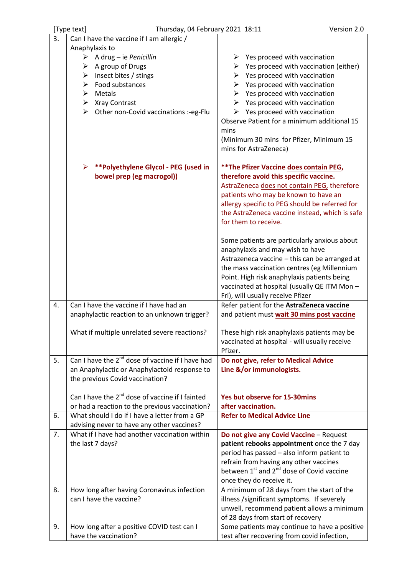|    | [Type text]<br>Thursday, 04 February 2021 18:11                        | Version 2.0                                                                              |
|----|------------------------------------------------------------------------|------------------------------------------------------------------------------------------|
| 3. | Can I have the vaccine if I am allergic /                              |                                                                                          |
|    | Anaphylaxis to                                                         |                                                                                          |
|    | $\triangleright$ A drug – ie Penicillin                                | Yes proceed with vaccination<br>➤                                                        |
|    | A group of Drugs<br>➤                                                  | Yes proceed with vaccination (either)<br>➤                                               |
|    | Insect bites / stings<br>➤                                             | Yes proceed with vaccination<br>➤                                                        |
|    | Food substances<br>➤                                                   | Yes proceed with vaccination<br>➤                                                        |
|    | Metals<br>➤                                                            | Yes proceed with vaccination<br>➤                                                        |
|    | Xray Contrast<br>➤                                                     | Yes proceed with vaccination<br>➤                                                        |
|    | Other non-Covid vaccinations :-eg-Flu<br>≻                             | Yes proceed with vaccination<br>➤                                                        |
|    |                                                                        | Observe Patient for a minimum additional 15                                              |
|    |                                                                        | mins                                                                                     |
|    |                                                                        | (Minimum 30 mins for Pfizer, Minimum 15                                                  |
|    |                                                                        | mins for AstraZeneca)                                                                    |
|    |                                                                        |                                                                                          |
|    | ➤<br>** Polyethylene Glycol - PEG (used in                             | ** The Pfizer Vaccine does contain PEG,                                                  |
|    | bowel prep (eg macrogol))                                              | therefore avoid this specific vaccine.                                                   |
|    |                                                                        | AstraZeneca does not contain PEG, therefore                                              |
|    |                                                                        | patients who may be known to have an                                                     |
|    |                                                                        | allergy specific to PEG should be referred for                                           |
|    |                                                                        | the AstraZeneca vaccine instead, which is safe                                           |
|    |                                                                        | for them to receive.                                                                     |
|    |                                                                        |                                                                                          |
|    |                                                                        |                                                                                          |
|    |                                                                        | Some patients are particularly anxious about                                             |
|    |                                                                        | anaphylaxis and may wish to have                                                         |
|    |                                                                        | Astrazeneca vaccine - this can be arranged at                                            |
|    |                                                                        | the mass vaccination centres (eg Millennium                                              |
|    |                                                                        | Point. High risk anaphylaxis patients being                                              |
|    |                                                                        | vaccinated at hospital (usually QE ITM Mon -                                             |
|    |                                                                        | Fri), will usually receive Pfizer                                                        |
| 4. | Can I have the vaccine if I have had an                                | Refer patient for the AstraZeneca vaccine                                                |
|    | anaphylactic reaction to an unknown trigger?                           | and patient must wait 30 mins post vaccine                                               |
|    |                                                                        |                                                                                          |
|    | What if multiple unrelated severe reactions?                           | These high risk anaphylaxis patients may be                                              |
|    |                                                                        | vaccinated at hospital - will usually receive<br>Pfizer.                                 |
| 5. | Can I have the 2 <sup>nd</sup> dose of vaccine if I have had           | Do not give, refer to Medical Advice                                                     |
|    | an Anaphylactic or Anaphylactoid response to                           | Line &/or immunologists.                                                                 |
|    | the previous Covid vaccination?                                        |                                                                                          |
|    |                                                                        |                                                                                          |
|    | Can I have the 2 <sup>nd</sup> dose of vaccine if I fainted            | Yes but observe for 15-30mins                                                            |
|    | or had a reaction to the previous vaccination?                         | after vaccination.                                                                       |
| 6. | What should I do if I have a letter from a GP                          | <b>Refer to Medical Advice Line</b>                                                      |
|    | advising never to have any other vaccines?                             |                                                                                          |
| 7. | What if I have had another vaccination within                          | Do not give any Covid Vaccine - Request                                                  |
|    | the last 7 days?                                                       | patient rebooks appointment once the 7 day                                               |
|    |                                                                        | period has passed - also inform patient to                                               |
|    |                                                                        | refrain from having any other vaccines                                                   |
|    |                                                                        | between 1 <sup>st</sup> and 2 <sup>nd</sup> dose of Covid vaccine                        |
|    |                                                                        |                                                                                          |
| 8. |                                                                        | once they do receive it.                                                                 |
|    | How long after having Coronavirus infection<br>can I have the vaccine? | A minimum of 28 days from the start of the<br>illness /significant symptoms. If severely |
|    |                                                                        |                                                                                          |
|    |                                                                        | unwell, recommend patient allows a minimum                                               |
|    |                                                                        | of 28 days from start of recovery                                                        |
| 9. | How long after a positive COVID test can I                             | Some patients may continue to have a positive                                            |
|    | have the vaccination?                                                  | test after recovering from covid infection,                                              |